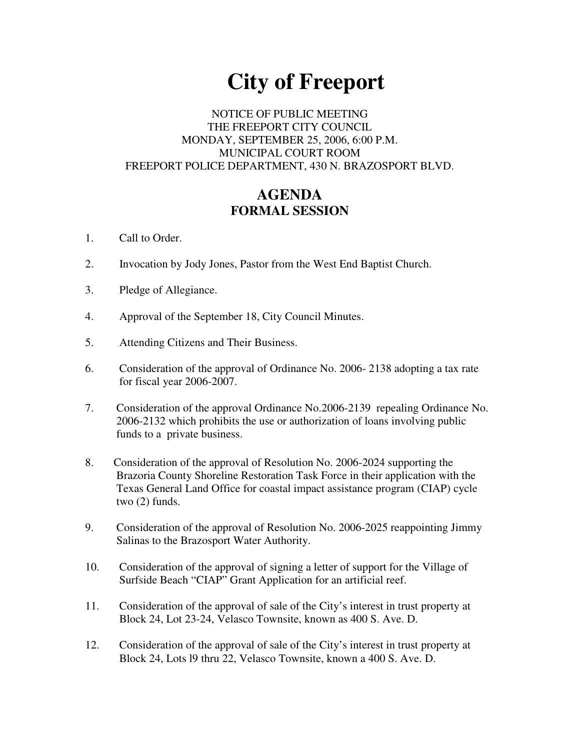# **City of Freeport**

## NOTICE OF PUBLIC MEETING THE FREEPORT CITY COUNCIL MONDAY, SEPTEMBER 25, 2006, 6:00 P.M. MUNICIPAL COURT ROOM FREEPORT POLICE DEPARTMENT, 430 N. BRAZOSPORT BLVD.

## **AGENDA FORMAL SESSION**

- 1. Call to Order.
- 2. Invocation by Jody Jones, Pastor from the West End Baptist Church.
- 3. Pledge of Allegiance.
- 4. Approval of the September 18, City Council Minutes.
- 5. Attending Citizens and Their Business.
- 6. Consideration of the approval of Ordinance No. 2006- 2138 adopting a tax rate for fiscal year 2006-2007.
- 7. Consideration of the approval Ordinance No.2006-2139 repealing Ordinance No. 2006-2132 which prohibits the use or authorization of loans involving public funds to a private business.
- 8. Consideration of the approval of Resolution No. 2006-2024 supporting the Brazoria County Shoreline Restoration Task Force in their application with the Texas General Land Office for coastal impact assistance program (CIAP) cycle two (2) funds.
- 9. Consideration of the approval of Resolution No. 2006-2025 reappointing Jimmy Salinas to the Brazosport Water Authority.
- 10. Consideration of the approval of signing a letter of support for the Village of Surfside Beach "CIAP" Grant Application for an artificial reef.
- 11. Consideration of the approval of sale of the City's interest in trust property at Block 24, Lot 23-24, Velasco Townsite, known as 400 S. Ave. D.
- 12. Consideration of the approval of sale of the City's interest in trust property at Block 24, Lots l9 thru 22, Velasco Townsite, known a 400 S. Ave. D.